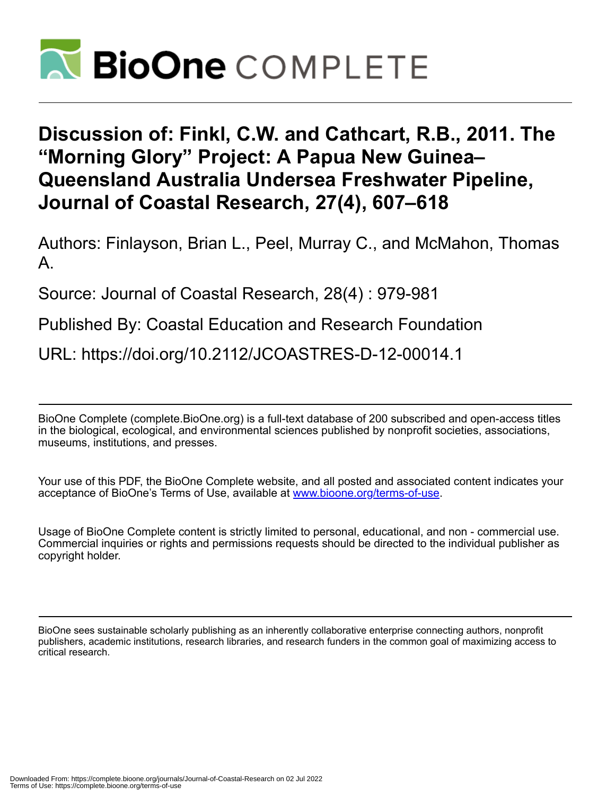

## **Discussion of: Finkl, C.W. and Cathcart, R.B., 2011. The "Morning Glory" Project: A Papua New Guinea– Queensland Australia Undersea Freshwater Pipeline, Journal of Coastal Research, 27(4), 607–618**

Authors: Finlayson, Brian L., Peel, Murray C., and McMahon, Thomas A.

Source: Journal of Coastal Research, 28(4) : 979-981

Published By: Coastal Education and Research Foundation

URL: https://doi.org/10.2112/JCOASTRES-D-12-00014.1

BioOne Complete (complete.BioOne.org) is a full-text database of 200 subscribed and open-access titles in the biological, ecological, and environmental sciences published by nonprofit societies, associations, museums, institutions, and presses.

Your use of this PDF, the BioOne Complete website, and all posted and associated content indicates your acceptance of BioOne's Terms of Use, available at www.bioone.org/terms-of-use.

Usage of BioOne Complete content is strictly limited to personal, educational, and non - commercial use. Commercial inquiries or rights and permissions requests should be directed to the individual publisher as copyright holder.

BioOne sees sustainable scholarly publishing as an inherently collaborative enterprise connecting authors, nonprofit publishers, academic institutions, research libraries, and research funders in the common goal of maximizing access to critical research.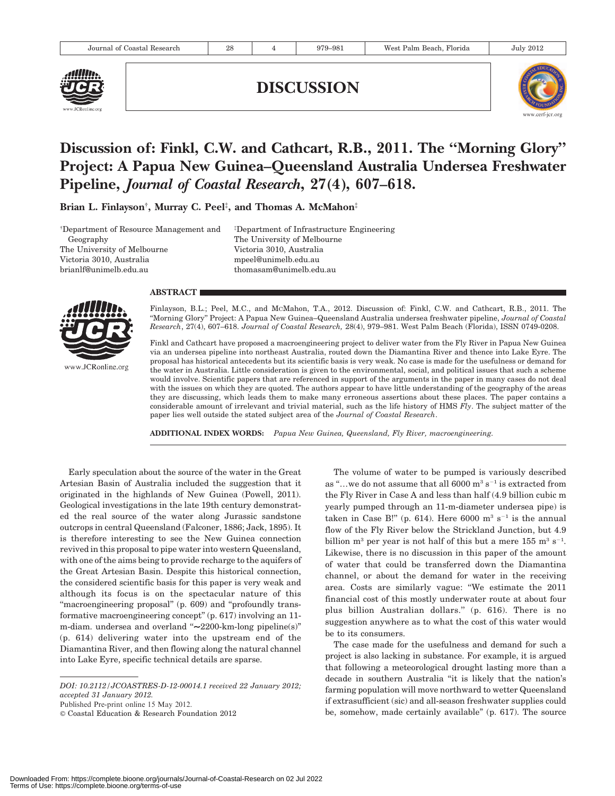

DISCUSSION



## Discussion of: Finkl, C.W. and Cathcart, R.B., 2011. The ''Morning Glory'' Project: A Papua New Guinea–Queensland Australia Undersea Freshwater Pipeline, Journal of Coastal Research, 27(4), 607–618.

Brian L. Finlayson†, Murray C. Peel‡, and Thomas A. McMahon‡

{ Department of Resource Management and Geography The University of Melbourne Victoria 3010, Australia brianlf@unimelb.edu.au

{ Department of Infrastructure Engineering The University of Melbourne Victoria 3010, Australia mpeel@unimelb.edu.au thomasam@unimelb.edu.au

## **ABSTRACT**



www.JCRonline.org

Finlayson, B.L.; Peel, M.C., and MCMahon, T.A., 2012. Discussion of: Finkl, C.W. and Cathcart, R.B., 2011. The ''Morning Glory'' Project: A Papua New Guinea–Queensland Australia undersea freshwater pipeline, Journal of Coastal Research, 27(4), 607–618. Journal of Coastal Research, 28(4), 979–981. West Palm Beach (Florida), ISSN 0749-0208.

Finkl and Cathcart have proposed a macroengineering project to deliver water from the Fly River in Papua New Guinea via an undersea pipeline into northeast Australia, routed down the Diamantina River and thence into Lake Eyre. The proposal has historical antecedents but its scientific basis is very weak. No case is made for the usefulness or demand for the water in Australia. Little consideration is given to the environmental, social, and political issues that such a scheme would involve. Scientific papers that are referenced in support of the arguments in the paper in many cases do not deal with the issues on which they are quoted. The authors appear to have little understanding of the geography of the areas they are discussing, which leads them to make many erroneous assertions about these places. The paper contains a considerable amount of irrelevant and trivial material, such as the life history of HMS  $Fly$ . The subject matter of the paper lies well outside the stated subject area of the Journal of Coastal Research.

ADDITIONAL INDEX WORDS: Papua New Guinea, Queensland, Fly River, macroengineering.

Early speculation about the source of the water in the Great Artesian Basin of Australia included the suggestion that it originated in the highlands of New Guinea (Powell, 2011). Geological investigations in the late 19th century demonstrated the real source of the water along Jurassic sandstone outcrops in central Queensland (Falconer, 1886; Jack, 1895). It is therefore interesting to see the New Guinea connection revived in this proposal to pipe water into western Queensland, with one of the aims being to provide recharge to the aquifers of the Great Artesian Basin. Despite this historical connection, the considered scientific basis for this paper is very weak and although its focus is on the spectacular nature of this "macroengineering proposal" (p. 609) and "profoundly transformative macroengineering concept'' (p. 617) involving an 11 m-diam. undersea and overland " $\sim$ 2200-km-long pipeline(s)" (p. 614) delivering water into the upstream end of the Diamantina River, and then flowing along the natural channel into Lake Eyre, specific technical details are sparse.

Published Pre-print online 15 May 2012.

The volume of water to be pumped is variously described as "...we do not assume that all  $6000 \text{ m}^3 \text{ s}^{-1}$  is extracted from the Fly River in Case A and less than half (4.9 billion cubic m yearly pumped through an 11-m-diameter undersea pipe) is taken in Case B!" (p. 614). Here 6000  $m^3 s^{-1}$  is the annual flow of the Fly River below the Strickland Junction, but 4.9 billion m<sup>3</sup> per year is not half of this but a mere  $155 \text{ m}^3 \text{ s}^{-1}$ . Likewise, there is no discussion in this paper of the amount of water that could be transferred down the Diamantina channel, or about the demand for water in the receiving area. Costs are similarly vague: ''We estimate the 2011 financial cost of this mostly underwater route at about four plus billion Australian dollars.'' (p. 616). There is no suggestion anywhere as to what the cost of this water would be to its consumers.

The case made for the usefulness and demand for such a project is also lacking in substance. For example, it is argued that following a meteorological drought lasting more than a decade in southern Australia ''it is likely that the nation's farming population will move northward to wetter Queensland if extrasufficient (sic) and all-season freshwater supplies could be, somehow, made certainly available" (p. 617). The source

DOI: 10.2112/JCOASTRES-D-12-00014.1 received 22 January 2012; accepted 31 January 2012.

<sup>©</sup> Coastal Education & Research Foundation 2012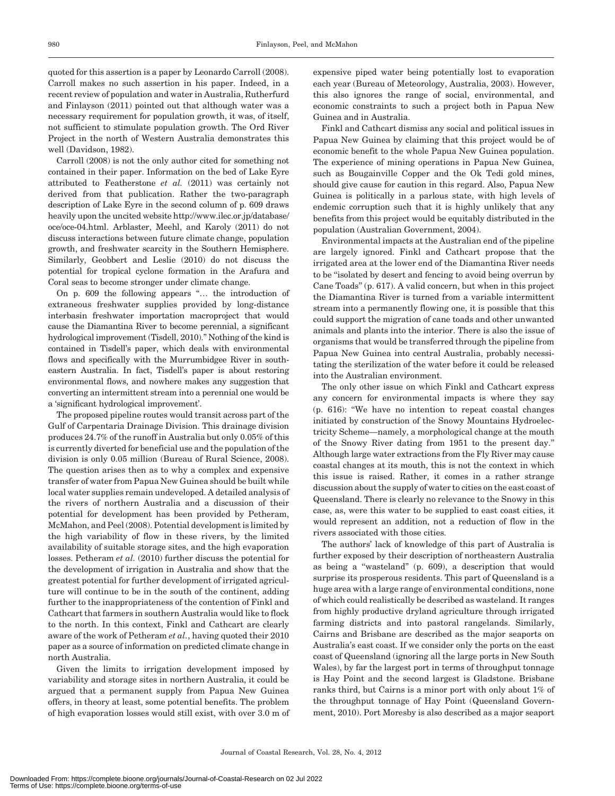quoted for this assertion is a paper by Leonardo Carroll (2008). Carroll makes no such assertion in his paper. Indeed, in a recent review of population and water in Australia, Rutherfurd and Finlayson (2011) pointed out that although water was a necessary requirement for population growth, it was, of itself, not sufficient to stimulate population growth. The Ord River Project in the north of Western Australia demonstrates this well (Davidson, 1982).

Carroll (2008) is not the only author cited for something not contained in their paper. Information on the bed of Lake Eyre attributed to Featherstone et al. (2011) was certainly not derived from that publication. Rather the two-paragraph description of Lake Eyre in the second column of p. 609 draws heavily upon the uncited website http://www.ilec.or.jp/database/ oce/oce-04.html. Arblaster, Meehl, and Karoly (2011) do not discuss interactions between future climate change, population growth, and freshwater scarcity in the Southern Hemisphere. Similarly, Geobbert and Leslie (2010) do not discuss the potential for tropical cyclone formation in the Arafura and Coral seas to become stronger under climate change.

On p. 609 the following appears ''… the introduction of extraneous freshwater supplies provided by long-distance interbasin freshwater importation macroproject that would cause the Diamantina River to become perennial, a significant hydrological improvement (Tisdell, 2010).'' Nothing of the kind is contained in Tisdell's paper, which deals with environmental flows and specifically with the Murrumbidgee River in southeastern Australia. In fact, Tisdell's paper is about restoring environmental flows, and nowhere makes any suggestion that converting an intermittent stream into a perennial one would be a 'significant hydrological improvement'.

The proposed pipeline routes would transit across part of the Gulf of Carpentaria Drainage Division. This drainage division produces 24.7% of the runoff in Australia but only 0.05% of this is currently diverted for beneficial use and the population of the division is only 0.05 million (Bureau of Rural Science, 2008). The question arises then as to why a complex and expensive transfer of water from Papua New Guinea should be built while local water supplies remain undeveloped. A detailed analysis of the rivers of northern Australia and a discussion of their potential for development has been provided by Petheram, McMahon, and Peel (2008). Potential development is limited by the high variability of flow in these rivers, by the limited availability of suitable storage sites, and the high evaporation losses. Petheram et al. (2010) further discuss the potential for the development of irrigation in Australia and show that the greatest potential for further development of irrigated agriculture will continue to be in the south of the continent, adding further to the inappropriateness of the contention of Finkl and Cathcart that farmers in southern Australia would like to flock to the north. In this context, Finkl and Cathcart are clearly aware of the work of Petheram et al., having quoted their 2010 paper as a source of information on predicted climate change in north Australia.

Given the limits to irrigation development imposed by variability and storage sites in northern Australia, it could be argued that a permanent supply from Papua New Guinea offers, in theory at least, some potential benefits. The problem of high evaporation losses would still exist, with over 3.0 m of

expensive piped water being potentially lost to evaporation each year (Bureau of Meteorology, Australia, 2003). However, this also ignores the range of social, environmental, and economic constraints to such a project both in Papua New Guinea and in Australia.

Finkl and Cathcart dismiss any social and political issues in Papua New Guinea by claiming that this project would be of economic benefit to the whole Papua New Guinea population. The experience of mining operations in Papua New Guinea, such as Bougainville Copper and the Ok Tedi gold mines, should give cause for caution in this regard. Also, Papua New Guinea is politically in a parlous state, with high levels of endemic corruption such that it is highly unlikely that any benefits from this project would be equitably distributed in the population (Australian Government, 2004).

Environmental impacts at the Australian end of the pipeline are largely ignored. Finkl and Cathcart propose that the irrigated area at the lower end of the Diamantina River needs to be ''isolated by desert and fencing to avoid being overrun by Cane Toads'' (p. 617). A valid concern, but when in this project the Diamantina River is turned from a variable intermittent stream into a permanently flowing one, it is possible that this could support the migration of cane toads and other unwanted animals and plants into the interior. There is also the issue of organisms that would be transferred through the pipeline from Papua New Guinea into central Australia, probably necessitating the sterilization of the water before it could be released into the Australian environment.

The only other issue on which Finkl and Cathcart express any concern for environmental impacts is where they say (p. 616): ''We have no intention to repeat coastal changes initiated by construction of the Snowy Mountains Hydroelectricity Scheme—namely, a morphological change at the mouth of the Snowy River dating from 1951 to the present day.'' Although large water extractions from the Fly River may cause coastal changes at its mouth, this is not the context in which this issue is raised. Rather, it comes in a rather strange discussion about the supply of water to cities on the east coast of Queensland. There is clearly no relevance to the Snowy in this case, as, were this water to be supplied to east coast cities, it would represent an addition, not a reduction of flow in the rivers associated with those cities.

The authors' lack of knowledge of this part of Australia is further exposed by their description of northeastern Australia as being a ''wasteland'' (p. 609), a description that would surprise its prosperous residents. This part of Queensland is a huge area with a large range of environmental conditions, none of which could realistically be described as wasteland. It ranges from highly productive dryland agriculture through irrigated farming districts and into pastoral rangelands. Similarly, Cairns and Brisbane are described as the major seaports on Australia's east coast. If we consider only the ports on the east coast of Queensland (ignoring all the large ports in New South Wales), by far the largest port in terms of throughput tonnage is Hay Point and the second largest is Gladstone. Brisbane ranks third, but Cairns is a minor port with only about 1% of the throughput tonnage of Hay Point (Queensland Government, 2010). Port Moresby is also described as a major seaport